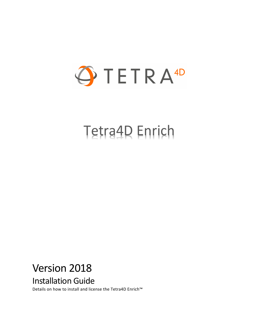

# Tetra4D Enrich

# Version 2018

Installation Guide

Details on how to install and license the Tetra4D Enrich™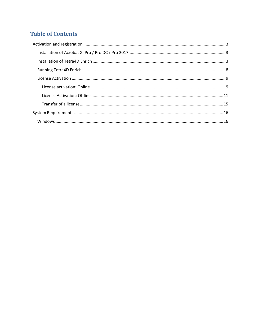## **Table of Contents**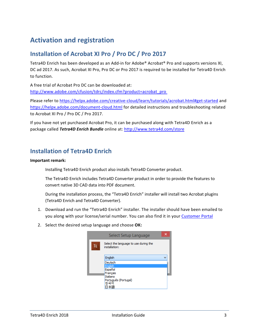# <span id="page-2-0"></span>**Activation and registration**

### <span id="page-2-1"></span>**Installation of Acrobat XI Pro / Pro DC / Pro 2017**

Tetra4D Enrich has been developed as an Add-in for Adobe® Acrobat® Pro and supports versions XI, DC ad 2017. As such, Acrobat XI Pro, Pro DC or Pro 2017 is required to be installed for Tetra4D Enrich to function.

A free trial of Acrobat Pro DC can be downloaded at: [http://www.adobe.com/cfusion/tdrc/index.cfm?product=acrobat\\_pro](http://www.adobe.com/cfusion/tdrc/index.cfm?product=acrobat_pro)

Please refer to<https://helpx.adobe.com/creative-cloud/learn/tutorials/acrobat.html#get-started> and <https://helpx.adobe.com/document-cloud.html> for detailed instructions and troubleshooting related to Acrobat XI Pro / Pro DC / Pro 2017.

If you have not yet purchased Acrobat Pro, it can be purchased along with Tetra4D Enrich as a package called *Tetra4D Enrich Bundle* online at:<http://www.tetra4d.com/store>

### <span id="page-2-2"></span>**Installation of Tetra4D Enrich**

#### **Important remark:**

Installing Tetra4D Enrich product also installs Tetra4D Converter product.

The Tetra4D Enrich includes Tetra4D Converter product in order to provide the features to convert native 3D CAD data into PDF document.

During the installation process, the "Tetra4D Enrich" installer will install two Acrobat plugins (Tetra4D Enrich and Tetra4D Converter).

- 1. Download and run the "Tetra4D Enrich" installer. The installer should have been emailed to you along with your license/serial number. You can also find it in your [Customer Portal](https://system.netsuite.com/core/media/media.nl?id=1512340&c=1268810&h=7381c1353a387fc86a78&_xt=.html)
- 2. Select the desired setup language and choose **OK:**

|    | Select Setup Language                                  |  |
|----|--------------------------------------------------------|--|
| TE | Select the language to use during the<br>installation: |  |
|    | English                                                |  |
|    | Deutsch                                                |  |
|    | English<br>Español                                     |  |
|    | Français                                               |  |
|    | Italiano                                               |  |
|    | Português (Portugal)<br>하국어                            |  |
|    |                                                        |  |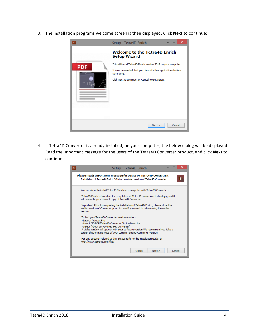3. The installation programs welcome screen is then displayed. Click **Next** to continue:



4. If Tetra4D Converter is already installed, on your computer, the below dialog will be displayed. Read the important message for the users of the Tetra4D Converter product, and click **Next** to continue:

| ×<br>Setup - Tetra4D Enrich<br>TE.                                                                                                                                                                                                                                                                                                                                                                                                                 |  |
|----------------------------------------------------------------------------------------------------------------------------------------------------------------------------------------------------------------------------------------------------------------------------------------------------------------------------------------------------------------------------------------------------------------------------------------------------|--|
| Please Read: IMPORTANT message for USERS OF TETRA4D CONVERTER<br>TE<br>Installation of Tetra4D Enrich 2016 on an older version of Tetra4D Converter                                                                                                                                                                                                                                                                                                |  |
| You are about to install Tetra4D Enrich on a computer with Tetra4D Converter.<br>Tetra4D Enrich is based on the very latest of Tetra4D conversion technology, and it<br>will overwrite your current copy of Tetra4D Converter.<br>Important: Prior to completing the installation of Tetra4D Enrich, please store the<br>earlier version of Converter prior, in case if you need to return using the earlier<br>version.                           |  |
| To find your Tetra4D Converter version number:<br>- Launch Acrobat Pro<br>- Select "3D PDF/Tetra4D Converter" in the Menu bar<br>- Select "About 3D PDF/Tetra4D Converter"<br>A dialog window will appear with your software version We recommend you take a<br>screen shot or make note of your current Tetra4D Converter version.<br>For any question related to this, please refer to the installation guide, or<br>http://www.tetra4d.com/fag/ |  |
| $Back$<br>Cancel<br>Next >                                                                                                                                                                                                                                                                                                                                                                                                                         |  |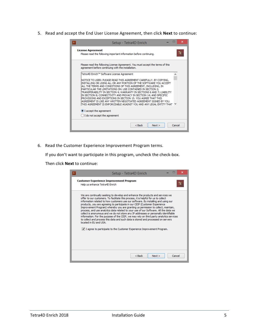5. Read and accept the End User License Agreement, then click **Next** to continue:

| Setup - Tetra4D Enrich                                                                                                                                                                                                                                                                                                                                                                                                                                                                                                                                                                                                           | ×      |
|----------------------------------------------------------------------------------------------------------------------------------------------------------------------------------------------------------------------------------------------------------------------------------------------------------------------------------------------------------------------------------------------------------------------------------------------------------------------------------------------------------------------------------------------------------------------------------------------------------------------------------|--------|
| <b>License Agreement</b><br>Please read the following important information before continuing.                                                                                                                                                                                                                                                                                                                                                                                                                                                                                                                                   | ΙF     |
| Please read the following License Agreement. You must accept the terms of this<br>agreement before continuing with the installation.                                                                                                                                                                                                                                                                                                                                                                                                                                                                                             |        |
| Tetra4D Enrich™ Software License Agreement                                                                                                                                                                                                                                                                                                                                                                                                                                                                                                                                                                                       | ۸      |
| NOTICE TO USER: PLEASE READ THIS AGREEMENT CAREFULLY, BY COPYING,<br>INSTALLING OR USING ALL OR ANY PORTION OF THE SOFTWARE YOU ACCEPT<br>ALL THE TERMS AND CONDITIONS OF THIS AGREEMENT, INCLUDING, IN<br>PARTICULAR THE LIMITATIONS ON: USE CONTAINED IN SECTION 2;<br>TRANSFERABILITY IN SECTION 4; WARRANTY IN SECTIONS 6 AND 7; LIABILITY<br>IN SECTION 8; CONNECTIVITY AND PRIVACY IN SECTION 14; AND SPECIFIC<br>PROVISIONS AND EXCEPTIONS IN SECTION 15, YOU AGREE THAT THIS<br>AGREEMENT IS LIKE ANY WRITTEN NEGOTIATED AGREEMENT SIGNED BY YOU.<br>THIS AGREEMENT IS ENFORCEABLE AGAINST YOU AND ANY LEGAL ENTITY THAT |        |
| I accept the agreement                                                                                                                                                                                                                                                                                                                                                                                                                                                                                                                                                                                                           |        |
| I do not accept the agreement                                                                                                                                                                                                                                                                                                                                                                                                                                                                                                                                                                                                    |        |
| $<$ Back<br>Next                                                                                                                                                                                                                                                                                                                                                                                                                                                                                                                                                                                                                 | Cancel |

6. Read the Customer Experience Improvement Program terms.

If you don't want to participate in this program, uncheck the check-box.

Then click **Next** to continue:

| ×<br>Setup - Tetra4D Enrich                                                                                                                                                                                                                                                                                                                                                                                                                                                                                                                                                                                                                                                                                                                                                                                                                                                                               |
|-----------------------------------------------------------------------------------------------------------------------------------------------------------------------------------------------------------------------------------------------------------------------------------------------------------------------------------------------------------------------------------------------------------------------------------------------------------------------------------------------------------------------------------------------------------------------------------------------------------------------------------------------------------------------------------------------------------------------------------------------------------------------------------------------------------------------------------------------------------------------------------------------------------|
| <b>Customer Experience Improvement Program</b><br>TE<br>Help us enhance Tetra4D Enrich                                                                                                                                                                                                                                                                                                                                                                                                                                                                                                                                                                                                                                                                                                                                                                                                                    |
| We are continually seeking to develop and enhance the products and services we<br>offer to our customers. To facilitate this process, it is helpful for us to collect<br>information related to how customers use our software. By installing and using our<br>products, you are agreeing to participate in our CEIP (Customer Experience)<br>Improvement Program) whereby you are granting us permission to collect, maintain,<br>process, and use analytics data related to your use of our Software. All the data we<br>collect is anonymous and we do not store any IP addresses or personally identifiable<br>information. For the purpose of the CEIP, we may rely on third party analytics services<br>to collect and process this data and such data is stored and processed on servers<br>located in EU and USA.<br>$ v $ I agree to participate to the Customer Experience Improvement Program. |
| Cancel<br>$Back$<br>Next >                                                                                                                                                                                                                                                                                                                                                                                                                                                                                                                                                                                                                                                                                                                                                                                                                                                                                |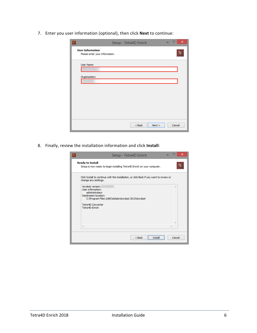7. Enter you user information (optional), then click **Next** to continue:

| TE                                                        | Setup - Tetra4D Enrich |        | $\boldsymbol{\mathsf{x}}$ |
|-----------------------------------------------------------|------------------------|--------|---------------------------|
| <b>User Information</b><br>Please enter your information. |                        |        | TE.                       |
| User Name:<br>Organization:                               |                        |        |                           |
|                                                           |                        |        |                           |
|                                                           |                        |        |                           |
|                                                           |                        |        |                           |
|                                                           | $<$ Back<br>Next       | Cancel |                           |

8. Finally, review the installation information and click **Install**:

| Setup - Tetra4D Enrich<br>TE.                                                                                                                                                 | $\boldsymbol{\mathsf{x}}$ |
|-------------------------------------------------------------------------------------------------------------------------------------------------------------------------------|---------------------------|
| <b>Ready to Install</b><br>Setup is now ready to begin installing Tetra4D Enrich on your computer.                                                                            | Te                        |
| Click Install to continue with the installation, or click Back if you want to review or<br>change any settings.                                                               |                           |
| Acrobat version:<br>User information:<br>administrateur<br>Destination location:<br>C: \Program Files (x86)\Adobe\Acrobat 2015\Acrobat<br>Tetra4D Converter<br>Tetra4D Enrich | ×                         |
| $\epsilon$                                                                                                                                                                    | W                         |
| $Back$<br>Insta                                                                                                                                                               | Cancel                    |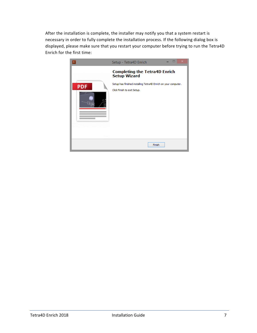After the installation is complete, the installer may notify you that a system restart is necessary in order to fully complete the installation process. If the following dialog box is displayed, please make sure that you restart your computer before trying to run the Tetra4D Enrich for the first time:

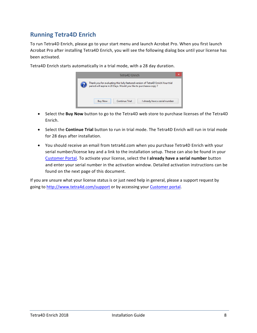### <span id="page-7-0"></span>**Running Tetra4D Enrich**

To run Tetra4D Enrich, please go to your start menu and launch Acrobat Pro. When you first launch Acrobat Pro after installing Tetra4D Enrich, you will see the following dialog box until your license has been activated.

> Tetra4D Enrich Thank you for evaluating this fully featured version of Tetra4D Enrich.Your trial<br>period will expire in 28 Days. Would you like to purchase a copy ? **Buy Now Continue Trial** I already have a serial number

Tetra4D Enrich starts automatically in a trial mode, with a 28 day duration.

- Select the **Buy Now** button to go to the Tetra4D web store to purchase licenses of the Tetra4D Enrich.
- Select the **Continue Trial** button to run in trial mode. The Tetra4D Enrich will run in trial mode for 28 days after installation.
- You should receive an email from tetra4d.com when you purchase Tetra4D Enrich with your serial number/license key and a link to the installation setup. These can also be found in your [Customer Portal.](https://system.netsuite.com/core/media/media.nl?id=1512340&c=1268810&h=7381c1353a387fc86a78&_xt=.html) To activate your license, select the **I already have a serial number** button and enter your serial number in the activation window. Detailed activation instructions can be found on the next page of this document.

If you are unsure what your license status is or just need help in general, please a support request by going to<http://www.tetra4d.com/support> or by accessing you[r Customer portal.](https://system.netsuite.com/core/media/media.nl?id=1512340&c=1268810&h=7381c1353a387fc86a78&_xt=.html)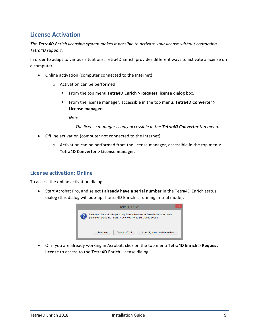#### <span id="page-8-0"></span>**License Activation**

*The Tetra4D Enrich licensing system makes it possible to activate your license without contacting Tetra4D support.*

In order to adapt to various situations, Tetra4D Enrich provides different ways to activate a license on a computer:

- Online activation (computer connected to the Internet)
	- o Activation can be performed
		- From the top menu **Tetra4D Enrich > Request license** dialog box,
		- From the license manager, accessible in the top menu: **Tetra4D Converter > License manager**.

*Note:* 

*The license manager is only accessible in the Tetra4D Converter top menu.*

- Offline activation (computer not connected to the Internet)
	- o Activation can be performed from the license manager, accessible in the top menu: **Tetra4D Converter > License manager**.

#### <span id="page-8-1"></span>**License activation: Online**

To access the online activation dialog:

• Start Acrobat Pro, and select **I already have a serial number** in the Tetra4D Enrich status dialog (this dialog will pop-up if tetra4D Enrich is running in trial mode).



• Or if you are already working in Acrobat, click on the top menu **Tetra4D Enrich > Request license** to access to the Tetra4D Enrich License dialog.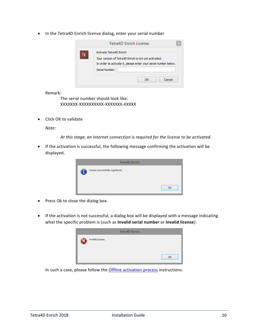• In the Tetra4D Enrich license dialog, enter your serial number

|    | Tetra4D Enrich License                                                                                                                                               |
|----|----------------------------------------------------------------------------------------------------------------------------------------------------------------------|
| TE | Activate Tetra4D Enrich<br>Your version of Tetra4D Enrich is not yet activated.<br>In order to activate it, please enter your serial number below.<br>Serial Number: |
|    | Cancel<br>ΩK                                                                                                                                                         |

Remark:

The serial number should look like: XXXXXXX-XXXXXXXXXX-XXXXXXX-XXXXX

• Click OK to validate

*Note:*

*At this stage, an internet connection is required for the license to be activated.*

• If the activation is successful, the following message confirming the activation will be displayed.

| <b>Tetra4D Enrich</b>            |    |
|----------------------------------|----|
| License successfully registered. | OK |

- Press Ok to close the dialog box.
- If the activation is not successful, a dialog box will be displayed with a message indicating what the specific problem is (such as **Invalid serial number** or **Invalid license**):

|                  | <b>Tetra4D Enrich</b> |    |
|------------------|-----------------------|----|
| Invalid License. |                       |    |
|                  |                       | OK |

In such a case, please follow the **Offline activation process** instructions.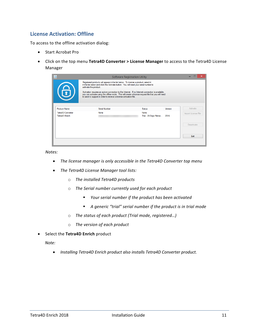#### <span id="page-10-0"></span>**License Activation: Offline**

To access to the offline activation dialog:

- Start Acrobat Pro
- Click on the top menu **Tetra4D Converter > License Manager** to access to the Tetra4D License Manager

| $\blacklozenge$                     | <b>Software Registration Utility</b>                                                                                                                                                                                                                                          |                               |         |                     |
|-------------------------------------|-------------------------------------------------------------------------------------------------------------------------------------------------------------------------------------------------------------------------------------------------------------------------------|-------------------------------|---------|---------------------|
|                                     | Registered products will appear in the list below. To license a product, select it<br>in the list below and click the Activate button. You will need your serial number to<br>activate the product.                                                                           |                               |         |                     |
| 6                                   | Activation requires an active connection to the Internet. If no Internet connection is available.<br>you can activate using the offline mode. This will create a license request file that you will need<br>to send to support in order to receive a license activation file. |                               |         |                     |
| <b>Product Name</b>                 | Serial Number                                                                                                                                                                                                                                                                 | <b>Status</b>                 | Version | Activate            |
| Tetra4D Converter<br>Tetra4D Enrich | None                                                                                                                                                                                                                                                                          | None<br>Trial - 28 Days Remai | 2016    | Import License File |
|                                     |                                                                                                                                                                                                                                                                               |                               |         | <b>Deactivate</b>   |
|                                     |                                                                                                                                                                                                                                                                               |                               |         | Exit                |
|                                     |                                                                                                                                                                                                                                                                               |                               |         |                     |

*Notes:*

- *The license manager is only accessible in the Tetra4D Converter top menu*
- *The Tetra4D License Manager tool lists:*
	- o *The installed Tetra4D products*
	- o *The Serial number currently used for each product*
		- *Your serial number if the product has been activated*
		- *A generic "trial" serial number if the product is in trial mode*
	- o *The status of each product (Trial mode, registered…)*
	- o *The version of each product*
- Select the **Tetra4D Enrich** product

*Note:*

• *Installing Tetra4D Enrich product also installs Tetra4D Converter product.*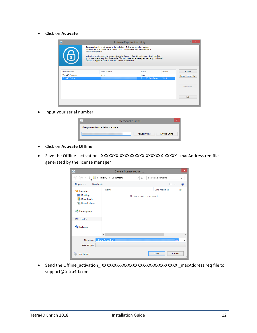• Click on **Activate**

| $\blacklozenge$     |                                                                                                                                                                                                                                                                                                                                                                                                                                                                                      | <b>Software Registration Utility</b> |         |                     |
|---------------------|--------------------------------------------------------------------------------------------------------------------------------------------------------------------------------------------------------------------------------------------------------------------------------------------------------------------------------------------------------------------------------------------------------------------------------------------------------------------------------------|--------------------------------------|---------|---------------------|
| 6                   | Registered products will appear in the list below. To license a product, select it<br>in the list below and click the Activate button. You will need your serial number to<br>activate the product.<br>Activation requires an active connection to the Internet. If no Internet connection is available.<br>you can activate using the offline mode. This will create a license request file that you will need<br>to send to support in order to receive a license activation file. |                                      |         |                     |
| <b>Product Name</b> | Serial Number                                                                                                                                                                                                                                                                                                                                                                                                                                                                        | Status                               | Version | Activate            |
| Tetra4D Converter   | None                                                                                                                                                                                                                                                                                                                                                                                                                                                                                 | None                                 |         | Import License File |
| Tetra4D Enrich      |                                                                                                                                                                                                                                                                                                                                                                                                                                                                                      | Trial - 28 Days Remai                | 2016    |                     |
|                     |                                                                                                                                                                                                                                                                                                                                                                                                                                                                                      |                                      |         | Deactivate          |
|                     |                                                                                                                                                                                                                                                                                                                                                                                                                                                                                      |                                      |         | Exit                |
|                     |                                                                                                                                                                                                                                                                                                                                                                                                                                                                                      |                                      |         |                     |

• Input your serial number

| <b>Enter Serial Number</b>                  | ×  |
|---------------------------------------------|----|
| Enter your serial number below to activate. |    |
| Activate Online<br>Activate Offline         |    |
|                                             | .: |

- Click on **Activate Offline**
- Save the Offline\_activation\_ XXXXXXX-XXXXXXXXXXXXXXXXXXXXXXX \_macAddress.req file generated by the license manager

| $\ddot{\Phi}$                                                                                                                            |                           | Save a license request           |                  |             | $\times$          |
|------------------------------------------------------------------------------------------------------------------------------------------|---------------------------|----------------------------------|------------------|-------------|-------------------|
| $(\Leftrightarrow$<br>⊖                                                                                                                  | This PC > Documents       | Ċ<br>v                           | Search Documents |             | ۹                 |
| Organize v<br>New folder                                                                                                                 |                           |                                  |                  | 988 ▼       |                   |
| <b>X</b> Favorites<br>Desktop<br><b>Downloads</b><br><b>Recent places</b><br><b>R</b> Homegroup<br><b>I</b> This PC<br><b>Gu</b> Network | Name                      | ×<br>No items match your search. | Date modified    | <b>Type</b> |                   |
|                                                                                                                                          | $\langle$                 |                                  |                  |             | $\rightarrow$     |
| File name:<br>Save as type:                                                                                                              | <b>Offline Activation</b> |                                  |                  | .req        | v<br>$\checkmark$ |
| <b>Hide Folders</b>                                                                                                                      |                           |                                  | Save             | Cancel      | $\mathcal{M}$     |

• Send the Offline\_activation\_ XXXXXXX-XXXXXXXXXXXXXXXXXXXXXX \_macAddress.req file to [support@tetra4d.com](mailto:support@tetra4d.com)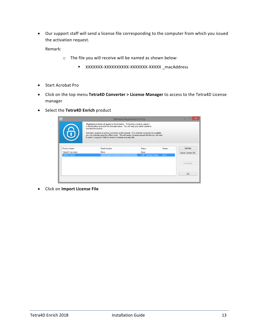• Our support staff will send a license file corresponding to the computer from which you issued the activation request.

Remark:

- o The file you will receive will be named as shown below:
	- XXXXXXX-XXXXXXXXXX-XXXXXXX-XXXXX \_macAddress
- Start Acrobat Pro
- Click on the top menu **Tetra4D Converter > License Manager** to access to the Tetra4D License manager
- Select the **Tetra4D Enrich** product

| $\overline{\Phi}$   |                                                                                                                                                                                                                                                                                                                                                                                                                                                                                      | <b>Software Registration Utility</b> |         |                     |
|---------------------|--------------------------------------------------------------------------------------------------------------------------------------------------------------------------------------------------------------------------------------------------------------------------------------------------------------------------------------------------------------------------------------------------------------------------------------------------------------------------------------|--------------------------------------|---------|---------------------|
| 6                   | Registered products will appear in the list below. To license a product, select it<br>in the list below and click the Activate button. You will need your serial number to<br>activate the product.<br>Activation requires an active connection to the Internet. If no Internet connection is available.<br>you can activate using the offline mode. This will create a license request file that you will need<br>to send to support in order to receive a license activation file. |                                      |         |                     |
| <b>Product Name</b> | Serial Number                                                                                                                                                                                                                                                                                                                                                                                                                                                                        | Status                               | Version | <b>Activate</b>     |
| Tetra4D Converter   | None                                                                                                                                                                                                                                                                                                                                                                                                                                                                                 | None                                 |         | Import License File |
| Tetra4D Enrich      |                                                                                                                                                                                                                                                                                                                                                                                                                                                                                      | Trial - 28 Days Remai                | 2016    |                     |
|                     |                                                                                                                                                                                                                                                                                                                                                                                                                                                                                      |                                      |         | Deactivate          |
|                     |                                                                                                                                                                                                                                                                                                                                                                                                                                                                                      |                                      |         | Exit                |

• Click on **Import License File**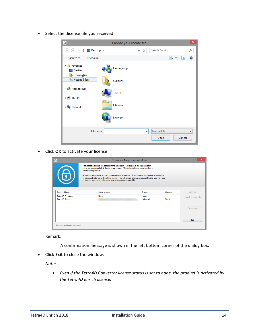• Select the .license file you received

| $\overline{\Phi}$                                                                 | Choose your license file |              |                     | ×                  |
|-----------------------------------------------------------------------------------|--------------------------|--------------|---------------------|--------------------|
| $\Box$ Desktop $\rightarrow$<br>$\left(\frac{c}{2}\right)$<br>$(\Rightarrow$<br>乔 |                          | Ċ<br>v.      | Search Desktop      | ۹                  |
| Organize $\blacktriangledown$<br>New folder                                       |                          |              | !                   | 0<br>ш             |
| <b>4 Favorites</b><br>Desktop<br><b>Downloaks</b>                                 | Homegroup                |              |                     |                    |
| Recent places                                                                     | Support                  |              |                     |                    |
| <b>B</b> Homegroup<br>$\triangleright$ $\mathbb{I}$ This PC                       | This PC                  |              |                     |                    |
| <b>Computer Network</b>                                                           | Libraries                |              |                     |                    |
|                                                                                   | <b>Network</b>           |              |                     |                    |
| File name:                                                                        | I                        | $\checkmark$ | <b>License File</b> | $\checkmark$       |
|                                                                                   |                          |              | Open                | Cancel<br>$\ldots$ |

• Click **OK** to activate your license

| $\blacklozenge$                     |                                                                                                                                                                                                                                                                               | Software Registration Utility |         |                     |  |
|-------------------------------------|-------------------------------------------------------------------------------------------------------------------------------------------------------------------------------------------------------------------------------------------------------------------------------|-------------------------------|---------|---------------------|--|
|                                     | Registered products will appear in the list below. To license a product, select it<br>in the list below and click the Activate button. You will need your serial number to<br>activate the product.                                                                           |                               |         |                     |  |
| 6                                   | Activation requires an active connection to the Internet. If no Internet connection is available,<br>you can activate using the offline mode. This will create a license request file that you will need<br>to send to support in order to receive a license activation file. |                               |         |                     |  |
| <b>Product Name</b>                 | Serial Number                                                                                                                                                                                                                                                                 | <b>Status</b>                 | Version | Activate            |  |
| Tetra4D Converter<br>Tetra4D Enrich | None                                                                                                                                                                                                                                                                          | None<br>Unlimited             | 2016    | Import License File |  |
|                                     |                                                                                                                                                                                                                                                                               |                               |         | <b>Deactivate</b>   |  |
|                                     |                                                                                                                                                                                                                                                                               |                               |         | Exit                |  |
| License has been activated          |                                                                                                                                                                                                                                                                               |                               |         |                     |  |

Remark:

A confirmation message is shown in the left bottom corner of the dialog box.

• Click **Exit** to close the window.

*Note:*

• *Even if the Tetra4D Converter license status is set to none, the product is activated by the Tetra4D Enrich license.*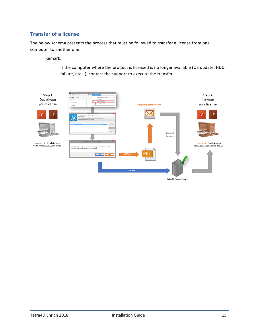#### <span id="page-14-0"></span>**Transfer of a license**

The below schema presents the process that must be followed to transfer a license from one computer to another one.

Remark:

If the computer where the product is licensed is no longer available (OS update, HDD failure, etc...), contact the support to execute the transfer.